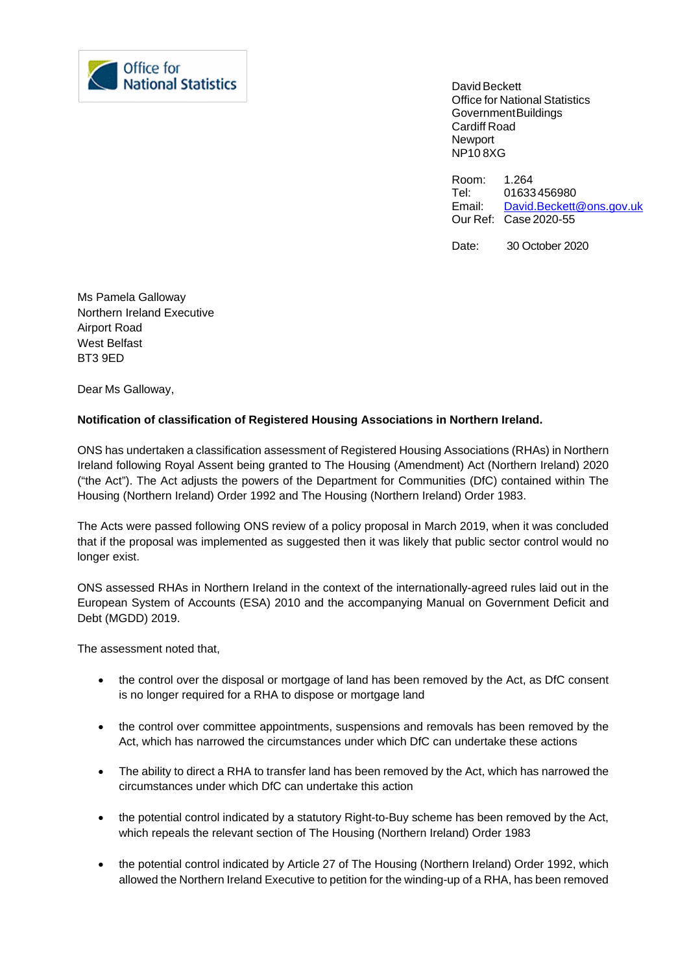

David Beckett Office for National Statistics GovernmentBuildings Cardiff Road **Newport** NP10 8XG

Room: 1.264<br>Tel: 01633 Tel: 01633456980<br>Email: David.Beckett [David.Beckett@ons.gov.uk](mailto:David.Beckett@ons.gov.uk) Our Ref: Case 2020-55

Date: 30 October 2020

Ms Pamela Galloway Northern Ireland Executive Airport Road West Belfast BT3 9ED

Dear Ms Galloway,

## **Notification of classification of Registered Housing Associations in Northern Ireland.**

ONS has undertaken a classification assessment of Registered Housing Associations (RHAs) in Northern Ireland following Royal Assent being granted to The Housing (Amendment) Act (Northern Ireland) 2020 ("the Act"). The Act adjusts the powers of the Department for Communities (DfC) contained within The Housing (Northern Ireland) Order 1992 and The Housing (Northern Ireland) Order 1983.

The Acts were passed following ONS review of a policy proposal in March 2019, when it was concluded that if the proposal was implemented as suggested then it was likely that public sector control would no longer exist.

ONS assessed RHAs in Northern Ireland in the context of the internationally-agreed rules laid out in the European System of Accounts (ESA) 2010 and the accompanying Manual on Government Deficit and Debt (MGDD) 2019.

The assessment noted that,

- the control over the disposal or mortgage of land has been removed by the Act, as DfC consent is no longer required for a RHA to dispose or mortgage land
- the control over committee appointments, suspensions and removals has been removed by the Act, which has narrowed the circumstances under which DfC can undertake these actions
- The ability to direct a RHA to transfer land has been removed by the Act, which has narrowed the circumstances under which DfC can undertake this action
- the potential control indicated by a statutory Right-to-Buy scheme has been removed by the Act, which repeals the relevant section of The Housing (Northern Ireland) Order 1983
- the potential control indicated by Article 27 of The Housing (Northern Ireland) Order 1992, which allowed the Northern Ireland Executive to petition for the winding-up of a RHA, has been removed